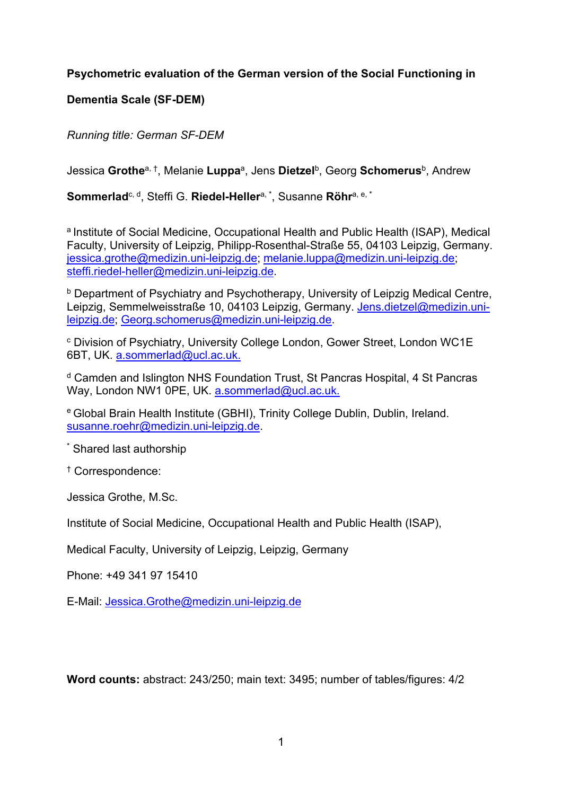# **Psychometric evaluation of the German version of the Social Functioning in**

# **Dementia Scale (SF-DEM)**

*Running title: German SF-DEM*

Jessica **Grothe**a, †, Melanie **Luppa**a, Jens **Dietzel**b, Georg **Schomerus**b, Andrew

**Sommerlad**c, d, Steffi G. **Riedel-Heller**a, \*, Susanne **Röhr**a, e, \*

<sup>a</sup> Institute of Social Medicine, Occupational Health and Public Health (ISAP), Medical Faculty, University of Leipzig, Philipp-Rosenthal-Straße 55, 04103 Leipzig, Germany. jessica.grothe@medizin.uni-leipzig.de; melanie.luppa@medizin.uni-leipzig.de; steffi.riedel-heller@medizin.uni-leipzig.de.

**b** Department of Psychiatry and Psychotherapy, University of Leipzig Medical Centre, Leipzig, Semmelweisstraße 10, 04103 Leipzig, Germany. Jens.dietzel@medizin.unileipzig.de; Georg.schomerus@medizin.uni-leipzig.de.

<sup>c</sup> Division of Psychiatry, University College London, Gower Street, London WC1E 6BT, UK. a.sommerlad@ucl.ac.uk.

<sup>d</sup> Camden and Islington NHS Foundation Trust, St Pancras Hospital, 4 St Pancras Way, London NW1 0PE, UK. a.sommerlad@ucl.ac.uk.

<sup>e</sup> Global Brain Health Institute (GBHI), Trinity College Dublin, Dublin, Ireland. susanne.roehr@medizin.uni-leipzig.de.

\* Shared last authorship

† Correspondence:

Jessica Grothe, M.Sc.

Institute of Social Medicine, Occupational Health and Public Health (ISAP),

Medical Faculty, University of Leipzig, Leipzig, Germany

Phone: +49 341 97 15410

E-Mail: Jessica.Grothe@medizin.uni-leipzig.de

**Word counts:** abstract: 243/250; main text: 3495; number of tables/figures: 4/2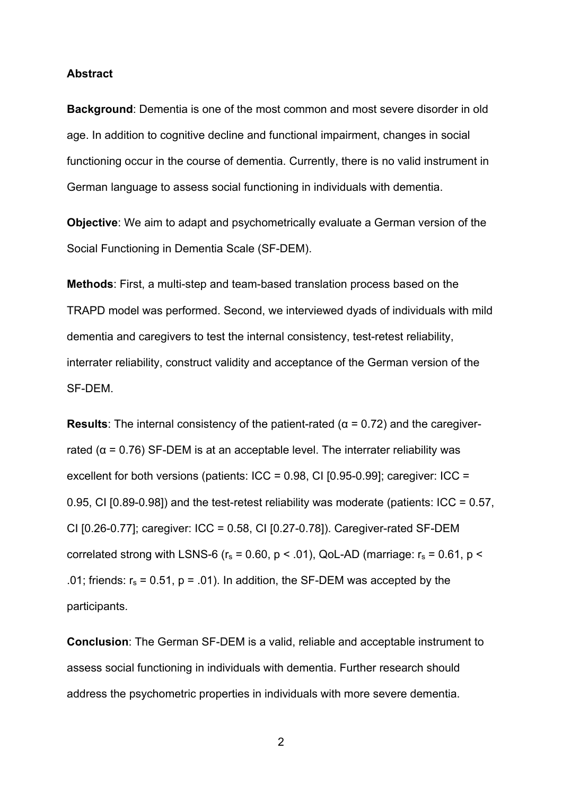#### **Abstract**

**Background**: Dementia is one of the most common and most severe disorder in old age. In addition to cognitive decline and functional impairment, changes in social functioning occur in the course of dementia. Currently, there is no valid instrument in German language to assess social functioning in individuals with dementia.

**Objective**: We aim to adapt and psychometrically evaluate a German version of the Social Functioning in Dementia Scale (SF-DEM).

**Methods**: First, a multi-step and team-based translation process based on the TRAPD model was performed. Second, we interviewed dyads of individuals with mild dementia and caregivers to test the internal consistency, test-retest reliability, interrater reliability, construct validity and acceptance of the German version of the SF-DEM.

**Results**: The internal consistency of the patient-rated ( $\alpha$  = 0.72) and the caregiverrated ( $\alpha$  = 0.76) SF-DEM is at an acceptable level. The interrater reliability was excellent for both versions (patients:  $ICC = 0.98$ , CI  $[0.95-0.99]$ ; caregiver:  $ICC =$ 0.95, CI [0.89-0.98]) and the test-retest reliability was moderate (patients: ICC =  $0.57$ , CI [0.26-0.77]; caregiver: ICC = 0.58, CI [0.27-0.78]). Caregiver-rated SF-DEM correlated strong with LSNS-6 ( $r_s$  = 0.60, p < .01), QoL-AD (marriage:  $r_s$  = 0.61, p < .01; friends:  $r_s = 0.51$ , p = .01). In addition, the SF-DEM was accepted by the participants.

**Conclusion**: The German SF-DEM is a valid, reliable and acceptable instrument to assess social functioning in individuals with dementia. Further research should address the psychometric properties in individuals with more severe dementia.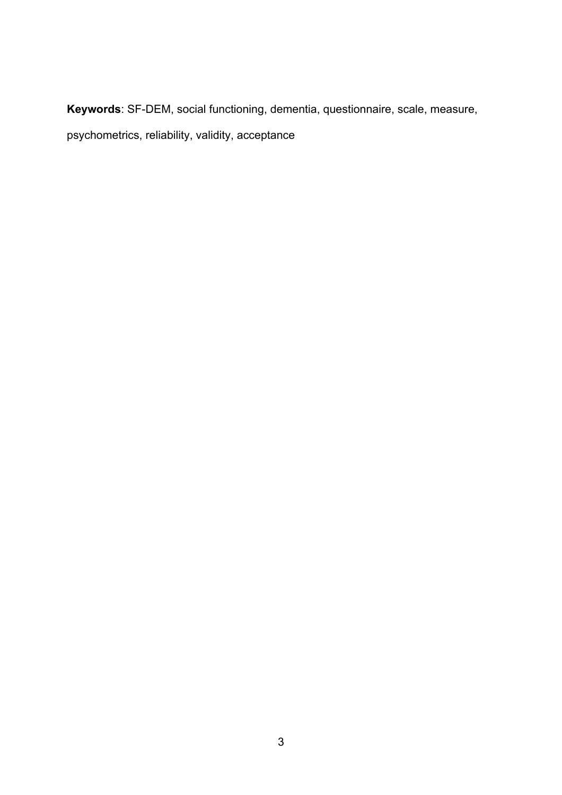**Keywords**: SF-DEM, social functioning, dementia, questionnaire, scale, measure, psychometrics, reliability, validity, acceptance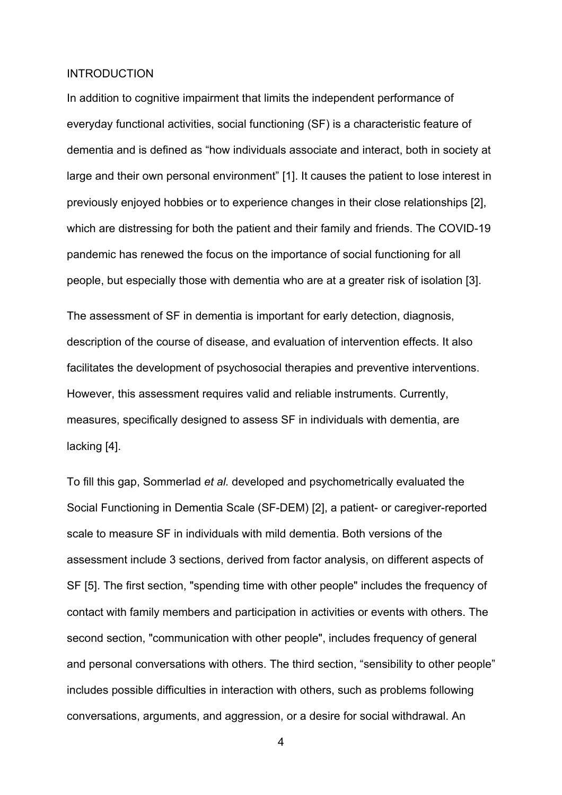#### **INTRODUCTION**

In addition to cognitive impairment that limits the independent performance of everyday functional activities, social functioning (SF) is a characteristic feature of dementia and is defined as "how individuals associate and interact, both in society at large and their own personal environment" [1]. It causes the patient to lose interest in previously enjoyed hobbies or to experience changes in their close relationships [2], which are distressing for both the patient and their family and friends. The COVID-19 pandemic has renewed the focus on the importance of social functioning for all people, but especially those with dementia who are at a greater risk of isolation [3].

The assessment of SF in dementia is important for early detection, diagnosis, description of the course of disease, and evaluation of intervention effects. It also facilitates the development of psychosocial therapies and preventive interventions. However, this assessment requires valid and reliable instruments. Currently, measures, specifically designed to assess SF in individuals with dementia, are lacking [4].

To fill this gap, Sommerlad *et al.* developed and psychometrically evaluated the Social Functioning in Dementia Scale (SF-DEM) [2], a patient- or caregiver-reported scale to measure SF in individuals with mild dementia. Both versions of the assessment include 3 sections, derived from factor analysis, on different aspects of SF [5]. The first section, "spending time with other people" includes the frequency of contact with family members and participation in activities or events with others. The second section, "communication with other people", includes frequency of general and personal conversations with others. The third section, "sensibility to other people" includes possible difficulties in interaction with others, such as problems following conversations, arguments, and aggression, or a desire for social withdrawal. An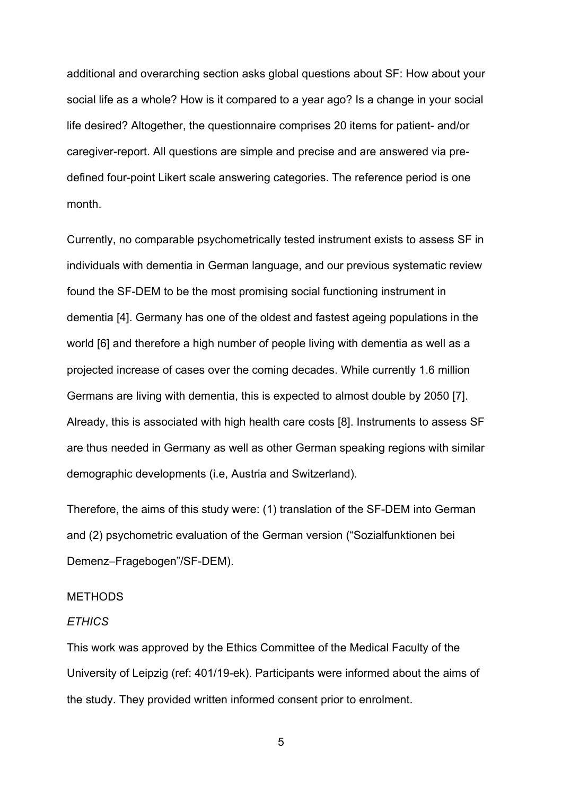additional and overarching section asks global questions about SF: How about your social life as a whole? How is it compared to a year ago? Is a change in your social life desired? Altogether, the questionnaire comprises 20 items for patient- and/or caregiver-report. All questions are simple and precise and are answered via predefined four-point Likert scale answering categories. The reference period is one month.

Currently, no comparable psychometrically tested instrument exists to assess SF in individuals with dementia in German language, and our previous systematic review found the SF-DEM to be the most promising social functioning instrument in dementia [4]. Germany has one of the oldest and fastest ageing populations in the world [6] and therefore a high number of people living with dementia as well as a projected increase of cases over the coming decades. While currently 1.6 million Germans are living with dementia, this is expected to almost double by 2050 [7]. Already, this is associated with high health care costs [8]. Instruments to assess SF are thus needed in Germany as well as other German speaking regions with similar demographic developments (i.e, Austria and Switzerland).

Therefore, the aims of this study were: (1) translation of the SF-DEM into German and (2) psychometric evaluation of the German version ("Sozialfunktionen bei Demenz–Fragebogen"/SF-DEM).

## **METHODS**

#### *ETHICS*

This work was approved by the Ethics Committee of the Medical Faculty of the University of Leipzig (ref: 401/19-ek). Participants were informed about the aims of the study. They provided written informed consent prior to enrolment.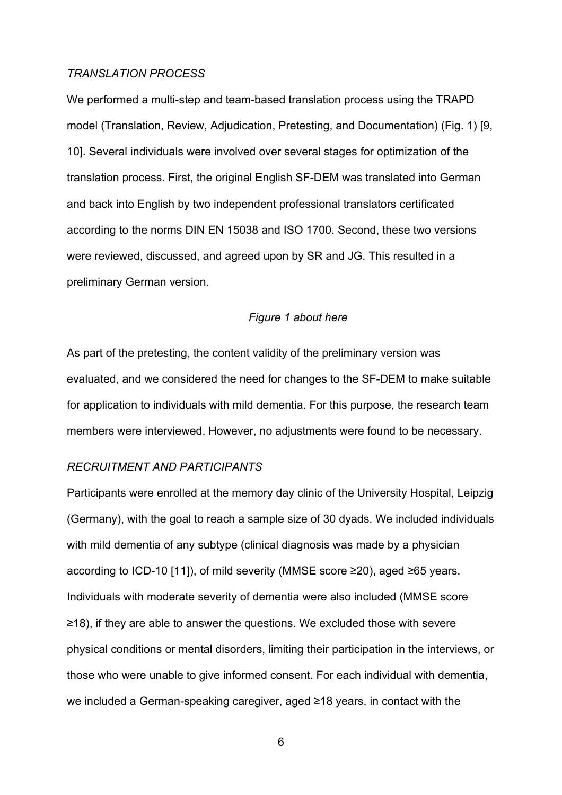#### *TRANSLATION PROCESS*

We performed a multi-step and team-based translation process using the TRAPD model (Translation, Review, Adjudication, Pretesting, and Documentation) (Fig. 1) [9, 10]. Several individuals were involved over several stages for optimization of the translation process. First, the original English SF-DEM was translated into German and back into English by two independent professional translators certificated according to the norms DIN EN 15038 and ISO 1700. Second, these two versions were reviewed, discussed, and agreed upon by SR and JG. This resulted in a preliminary German version.

## *Figure 1 about here*

As part of the pretesting, the content validity of the preliminary version was evaluated, and we considered the need for changes to the SF-DEM to make suitable for application to individuals with mild dementia. For this purpose, the research team members were interviewed. However, no adjustments were found to be necessary.

#### *RECRUITMENT AND PARTICIPANTS*

Participants were enrolled at the memory day clinic of the University Hospital, Leipzig (Germany), with the goal to reach a sample size of 30 dyads. We included individuals with mild dementia of any subtype (clinical diagnosis was made by a physician according to ICD-10 [11]), of mild severity (MMSE score ≥20), aged ≥65 years. Individuals with moderate severity of dementia were also included (MMSE score ≥18), if they are able to answer the questions. We excluded those with severe physical conditions or mental disorders, limiting their participation in the interviews, or those who were unable to give informed consent. For each individual with dementia, we included a German-speaking caregiver, aged ≥18 years, in contact with the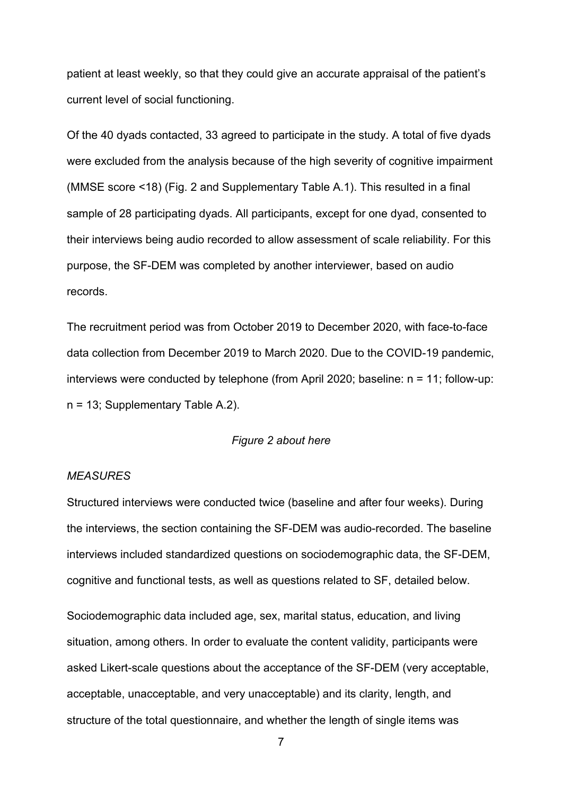patient at least weekly, so that they could give an accurate appraisal of the patient's current level of social functioning.

Of the 40 dyads contacted, 33 agreed to participate in the study. A total of five dyads were excluded from the analysis because of the high severity of cognitive impairment (MMSE score <18) (Fig. 2 and Supplementary Table A.1). This resulted in a final sample of 28 participating dyads. All participants, except for one dyad, consented to their interviews being audio recorded to allow assessment of scale reliability. For this purpose, the SF-DEM was completed by another interviewer, based on audio records.

The recruitment period was from October 2019 to December 2020, with face-to-face data collection from December 2019 to March 2020. Due to the COVID-19 pandemic, interviews were conducted by telephone (from April 2020; baseline: n = 11; follow-up: n = 13; Supplementary Table A.2).

## *Figure 2 about here*

#### *MEASURES*

Structured interviews were conducted twice (baseline and after four weeks). During the interviews, the section containing the SF-DEM was audio-recorded. The baseline interviews included standardized questions on sociodemographic data, the SF-DEM, cognitive and functional tests, as well as questions related to SF, detailed below.

Sociodemographic data included age, sex, marital status, education, and living situation, among others. In order to evaluate the content validity, participants were asked Likert-scale questions about the acceptance of the SF-DEM (very acceptable, acceptable, unacceptable, and very unacceptable) and its clarity, length, and structure of the total questionnaire, and whether the length of single items was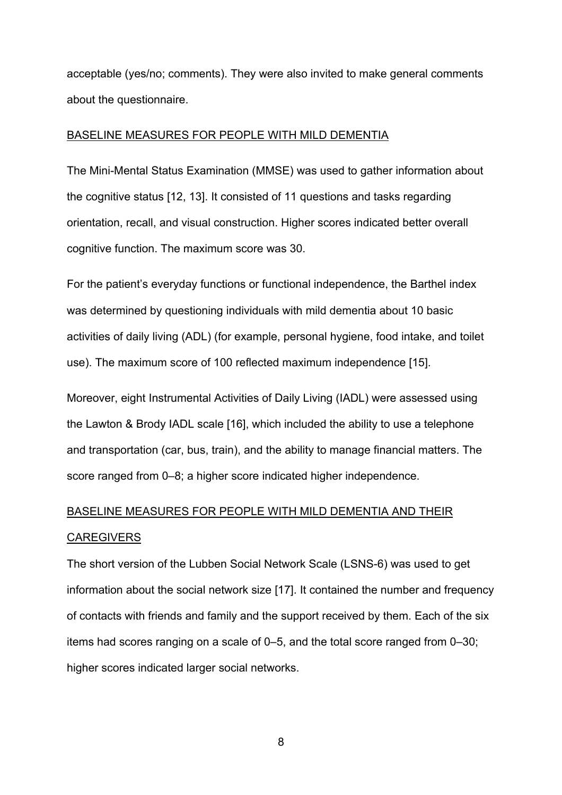acceptable (yes/no; comments). They were also invited to make general comments about the questionnaire.

## BASELINE MEASURES FOR PEOPLE WITH MILD DEMENTIA

The Mini-Mental Status Examination (MMSE) was used to gather information about the cognitive status [12, 13]. It consisted of 11 questions and tasks regarding orientation, recall, and visual construction. Higher scores indicated better overall cognitive function. The maximum score was 30.

For the patient's everyday functions or functional independence, the Barthel index was determined by questioning individuals with mild dementia about 10 basic activities of daily living (ADL) (for example, personal hygiene, food intake, and toilet use). The maximum score of 100 reflected maximum independence [15].

Moreover, eight Instrumental Activities of Daily Living (IADL) were assessed using the Lawton & Brody IADL scale [16], which included the ability to use a telephone and transportation (car, bus, train), and the ability to manage financial matters. The score ranged from 0–8; a higher score indicated higher independence.

# BASELINE MEASURES FOR PEOPLE WITH MILD DEMENTIA AND THEIR **CAREGIVERS**

The short version of the Lubben Social Network Scale (LSNS-6) was used to get information about the social network size [17]. It contained the number and frequency of contacts with friends and family and the support received by them. Each of the six items had scores ranging on a scale of 0–5, and the total score ranged from 0–30; higher scores indicated larger social networks.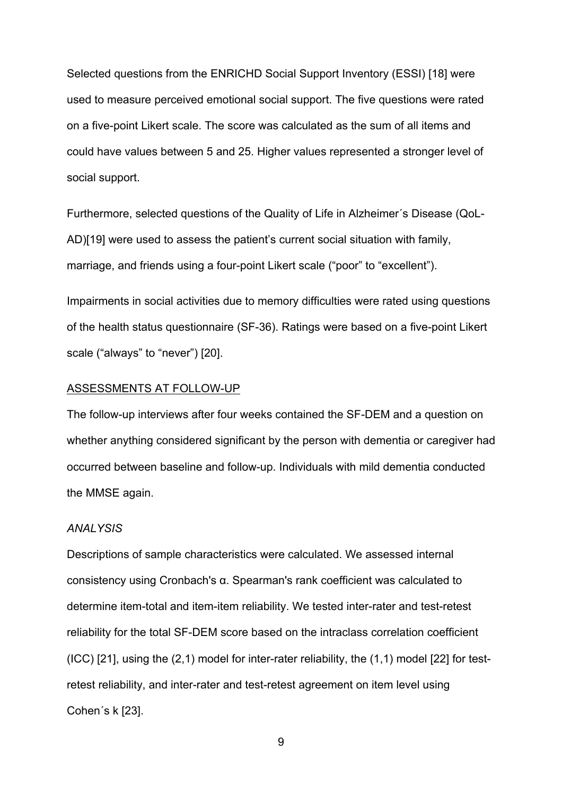Selected questions from the ENRICHD Social Support Inventory (ESSI) [18] were used to measure perceived emotional social support. The five questions were rated on a five-point Likert scale. The score was calculated as the sum of all items and could have values between 5 and 25. Higher values represented a stronger level of social support.

Furthermore, selected questions of the Quality of Life in Alzheimer´s Disease (QoL-AD)[19] were used to assess the patient's current social situation with family, marriage, and friends using a four-point Likert scale ("poor" to "excellent").

Impairments in social activities due to memory difficulties were rated using questions of the health status questionnaire (SF-36). Ratings were based on a five-point Likert scale ("always" to "never") [20].

#### ASSESSMENTS AT FOLLOW-UP

The follow-up interviews after four weeks contained the SF-DEM and a question on whether anything considered significant by the person with dementia or caregiver had occurred between baseline and follow-up. Individuals with mild dementia conducted the MMSE again.

#### *ANALYSIS*

Descriptions of sample characteristics were calculated. We assessed internal consistency using Cronbach's α. Spearman's rank coefficient was calculated to determine item-total and item-item reliability. We tested inter-rater and test-retest reliability for the total SF-DEM score based on the intraclass correlation coefficient (ICC) [21], using the (2,1) model for inter-rater reliability, the (1,1) model [22] for testretest reliability, and inter-rater and test-retest agreement on item level using Cohen´s k [23].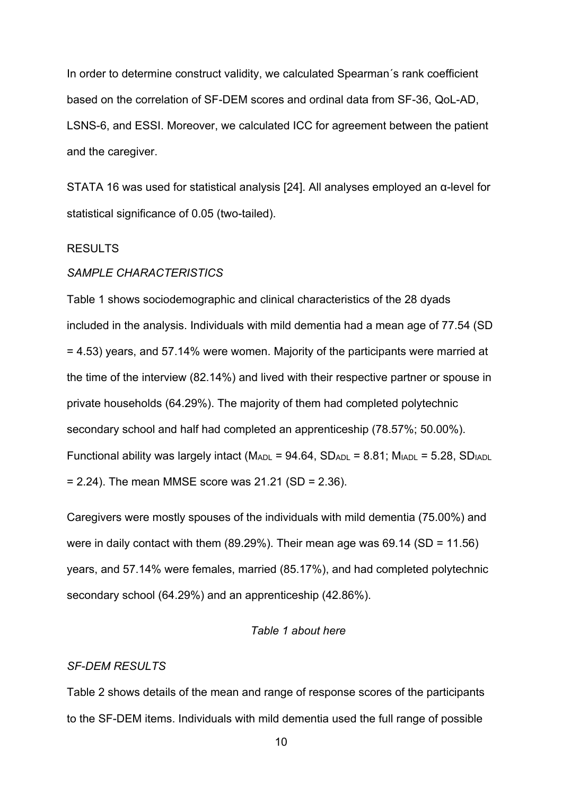In order to determine construct validity, we calculated Spearman´s rank coefficient based on the correlation of SF-DEM scores and ordinal data from SF-36, QoL-AD, LSNS-6, and ESSI. Moreover, we calculated ICC for agreement between the patient and the caregiver.

STATA 16 was used for statistical analysis [24]. All analyses employed an α-level for statistical significance of 0.05 (two-tailed).

#### RESULTS

#### *SAMPLE CHARACTERISTICS*

Table 1 shows sociodemographic and clinical characteristics of the 28 dyads included in the analysis. Individuals with mild dementia had a mean age of 77.54 (SD = 4.53) years, and 57.14% were women. Majority of the participants were married at the time of the interview (82.14%) and lived with their respective partner or spouse in private households (64.29%). The majority of them had completed polytechnic secondary school and half had completed an apprenticeship (78.57%; 50.00%). Functional ability was largely intact ( $M_{ADL}$  = 94.64,  $SD_{ADL}$  = 8.81;  $M_{IADL}$  = 5.28,  $SD_{IADL}$  $= 2.24$ ). The mean MMSE score was 21.21 (SD = 2.36).

Caregivers were mostly spouses of the individuals with mild dementia (75.00%) and were in daily contact with them  $(89.29\%)$ . Their mean age was 69.14  $(SD = 11.56)$ years, and 57.14% were females, married (85.17%), and had completed polytechnic secondary school (64.29%) and an apprenticeship (42.86%).

#### *Table 1 about here*

#### *SF-DEM RESULTS*

Table 2 shows details of the mean and range of response scores of the participants to the SF-DEM items. Individuals with mild dementia used the full range of possible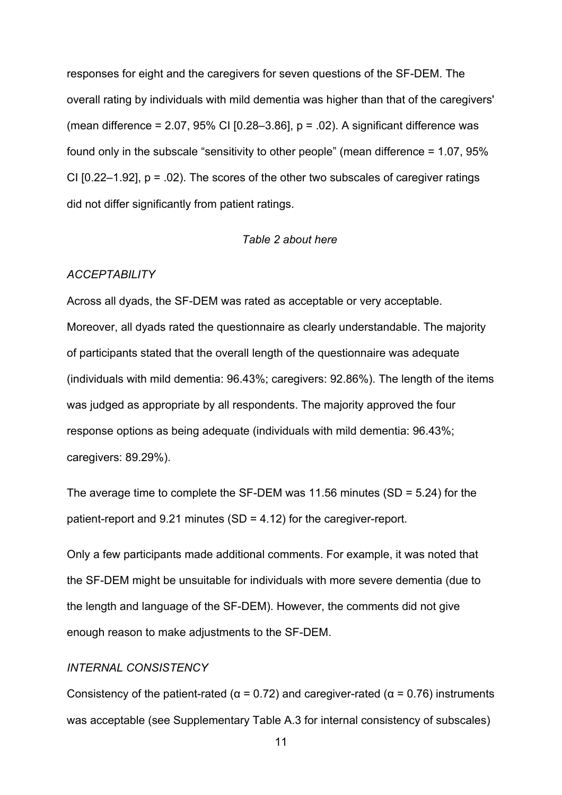responses for eight and the caregivers for seven questions of the SF-DEM. The overall rating by individuals with mild dementia was higher than that of the caregivers' (mean difference =  $2.07$ ,  $95\%$  CI [0.28–3.86],  $p = .02$ ). A significant difference was found only in the subscale "sensitivity to other people" (mean difference = 1.07, 95% CI  $[0.22-1.92]$ ,  $p = .02$ ). The scores of the other two subscales of caregiver ratings did not differ significantly from patient ratings.

#### *Table 2 about here*

#### *ACCEPTABILITY*

Across all dyads, the SF-DEM was rated as acceptable or very acceptable. Moreover, all dyads rated the questionnaire as clearly understandable. The majority of participants stated that the overall length of the questionnaire was adequate (individuals with mild dementia: 96.43%; caregivers: 92.86%). The length of the items was judged as appropriate by all respondents. The majority approved the four response options as being adequate (individuals with mild dementia: 96.43%; caregivers: 89.29%).

The average time to complete the SF-DEM was 11.56 minutes (SD = 5.24) for the patient-report and  $9.21$  minutes (SD = 4.12) for the caregiver-report.

Only a few participants made additional comments. For example, it was noted that the SF-DEM might be unsuitable for individuals with more severe dementia (due to the length and language of the SF-DEM). However, the comments did not give enough reason to make adjustments to the SF-DEM.

#### *INTERNAL CONSISTENCY*

Consistency of the patient-rated ( $\alpha$  = 0.72) and caregiver-rated ( $\alpha$  = 0.76) instruments was acceptable (see Supplementary Table A.3 for internal consistency of subscales)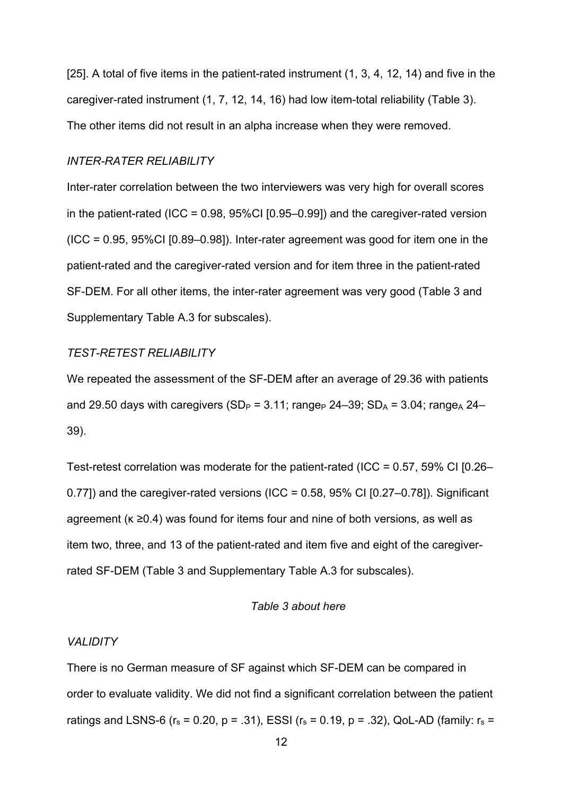[25]. A total of five items in the patient-rated instrument (1, 3, 4, 12, 14) and five in the caregiver-rated instrument (1, 7, 12, 14, 16) had low item-total reliability (Table 3). The other items did not result in an alpha increase when they were removed.

#### *INTER-RATER RELIABILITY*

Inter-rater correlation between the two interviewers was very high for overall scores in the patient-rated (ICC =  $0.98$ ,  $95\%$ CI [0.95–0.99]) and the caregiver-rated version  $(ICC = 0.95, 95\% CI [0.89–0.98])$ . Inter-rater agreement was good for item one in the patient-rated and the caregiver-rated version and for item three in the patient-rated SF-DEM. For all other items, the inter-rater agreement was very good (Table 3 and Supplementary Table A.3 for subscales).

## *TEST-RETEST RELIABILITY*

We repeated the assessment of the SF-DEM after an average of 29.36 with patients and 29.50 days with caregivers (SD<sub>P</sub> = 3.11; range<sub>P</sub> 24–39; SD<sub>A</sub> = 3.04; range<sub>A</sub> 24– 39).

Test-retest correlation was moderate for the patient-rated (ICC = 0.57, 59% CI [0.26– 0.77) and the caregiver-rated versions (ICC =  $0.58$ ,  $95\%$  CI  $[0.27-0.78]$ ). Significant agreement (κ ≥0.4) was found for items four and nine of both versions, as well as item two, three, and 13 of the patient-rated and item five and eight of the caregiverrated SF-DEM (Table 3 and Supplementary Table A.3 for subscales).

#### *Table 3 about here*

#### *VALIDITY*

There is no German measure of SF against which SF-DEM can be compared in order to evaluate validity. We did not find a significant correlation between the patient ratings and LSNS-6 ( $r_s$  = 0.20, p = .31), ESSI ( $r_s$  = 0.19, p = .32), QoL-AD (family:  $r_s$  =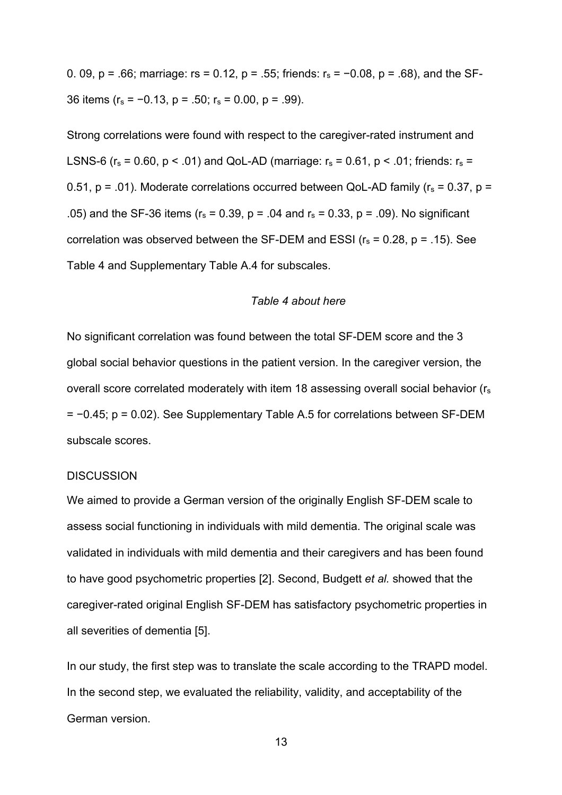0. 09, p = .66; marriage:  $rs = 0.12$ , p = .55; friends:  $r_s = -0.08$ , p = .68), and the SF-36 items ( $r_s = -0.13$ ,  $p = .50$ ;  $r_s = 0.00$ ,  $p = .99$ ).

Strong correlations were found with respect to the caregiver-rated instrument and LSNS-6 ( $r_s$  = 0.60,  $p < .01$ ) and QoL-AD (marriage:  $r_s$  = 0.61,  $p < .01$ ; friends:  $r_s$  = 0.51,  $p = .01$ ). Moderate correlations occurred between QoL-AD family ( $r_s = 0.37$ ,  $p =$ .05) and the SF-36 items ( $r_s = 0.39$ , p = .04 and  $r_s = 0.33$ , p = .09). No significant correlation was observed between the SF-DEM and ESSI ( $r_s$  = 0.28,  $p$  = .15). See Table 4 and Supplementary Table A.4 for subscales.

#### *Table 4 about here*

No significant correlation was found between the total SF-DEM score and the 3 global social behavior questions in the patient version. In the caregiver version, the overall score correlated moderately with item 18 assessing overall social behavior (rs = −0.45; p = 0.02). See Supplementary Table A.5 for correlations between SF-DEM subscale scores.

#### **DISCUSSION**

We aimed to provide a German version of the originally English SF-DEM scale to assess social functioning in individuals with mild dementia. The original scale was validated in individuals with mild dementia and their caregivers and has been found to have good psychometric properties [2]. Second, Budgett *et al.* showed that the caregiver-rated original English SF-DEM has satisfactory psychometric properties in all severities of dementia [5].

In our study, the first step was to translate the scale according to the TRAPD model. In the second step, we evaluated the reliability, validity, and acceptability of the German version.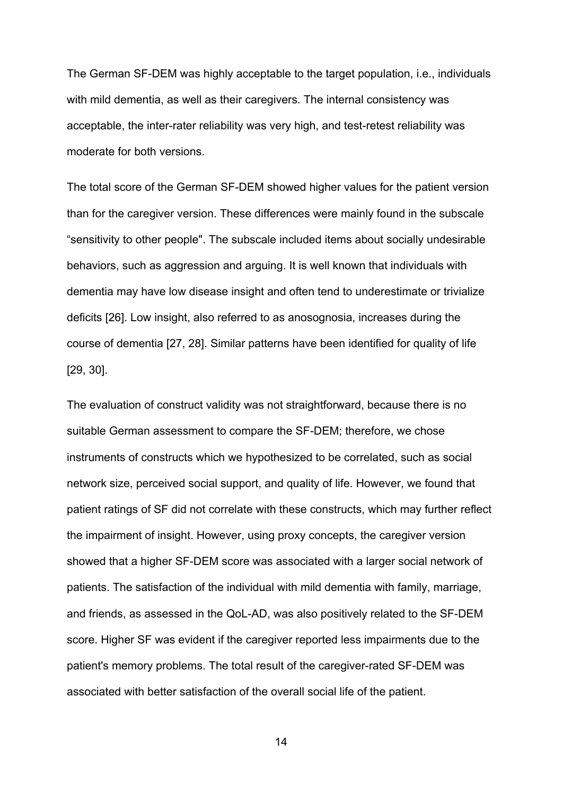The German SF-DEM was highly acceptable to the target population, i.e., individuals with mild dementia, as well as their caregivers. The internal consistency was acceptable, the inter-rater reliability was very high, and test-retest reliability was moderate for both versions.

The total score of the German SF-DEM showed higher values for the patient version than for the caregiver version. These differences were mainly found in the subscale "sensitivity to other people". The subscale included items about socially undesirable behaviors, such as aggression and arguing. It is well known that individuals with dementia may have low disease insight and often tend to underestimate or trivialize deficits [26]. Low insight, also referred to as anosognosia, increases during the course of dementia [27, 28]. Similar patterns have been identified for quality of life [29, 30].

The evaluation of construct validity was not straightforward, because there is no suitable German assessment to compare the SF-DEM; therefore, we chose instruments of constructs which we hypothesized to be correlated, such as social network size, perceived social support, and quality of life. However, we found that patient ratings of SF did not correlate with these constructs, which may further reflect the impairment of insight. However, using proxy concepts, the caregiver version showed that a higher SF-DEM score was associated with a larger social network of patients. The satisfaction of the individual with mild dementia with family, marriage, and friends, as assessed in the QoL-AD, was also positively related to the SF-DEM score. Higher SF was evident if the caregiver reported less impairments due to the patient's memory problems. The total result of the caregiver-rated SF-DEM was associated with better satisfaction of the overall social life of the patient.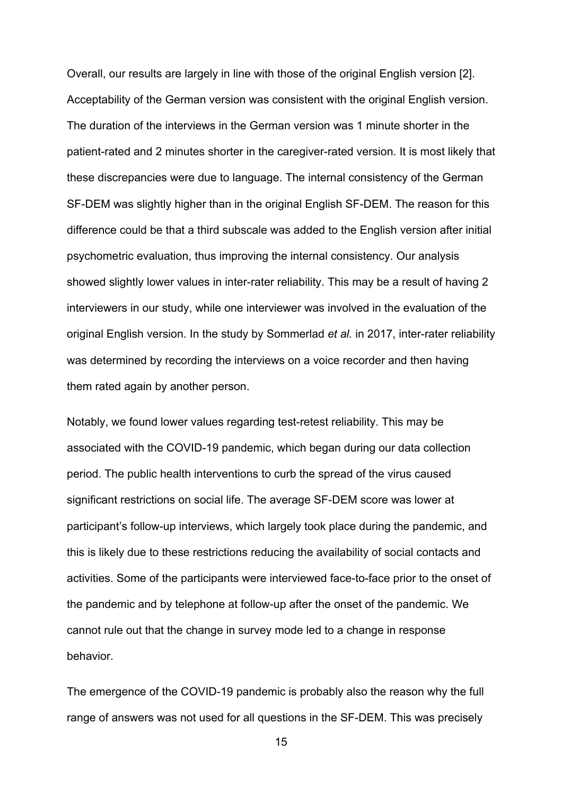Overall, our results are largely in line with those of the original English version [2]. Acceptability of the German version was consistent with the original English version. The duration of the interviews in the German version was 1 minute shorter in the patient-rated and 2 minutes shorter in the caregiver-rated version. It is most likely that these discrepancies were due to language. The internal consistency of the German SF-DEM was slightly higher than in the original English SF-DEM. The reason for this difference could be that a third subscale was added to the English version after initial psychometric evaluation, thus improving the internal consistency. Our analysis showed slightly lower values in inter-rater reliability. This may be a result of having 2 interviewers in our study, while one interviewer was involved in the evaluation of the original English version. In the study by Sommerlad *et al.* in 2017, inter-rater reliability was determined by recording the interviews on a voice recorder and then having them rated again by another person.

Notably, we found lower values regarding test-retest reliability. This may be associated with the COVID-19 pandemic, which began during our data collection period. The public health interventions to curb the spread of the virus caused significant restrictions on social life. The average SF-DEM score was lower at participant's follow-up interviews, which largely took place during the pandemic, and this is likely due to these restrictions reducing the availability of social contacts and activities. Some of the participants were interviewed face-to-face prior to the onset of the pandemic and by telephone at follow-up after the onset of the pandemic. We cannot rule out that the change in survey mode led to a change in response behavior.

The emergence of the COVID-19 pandemic is probably also the reason why the full range of answers was not used for all questions in the SF-DEM. This was precisely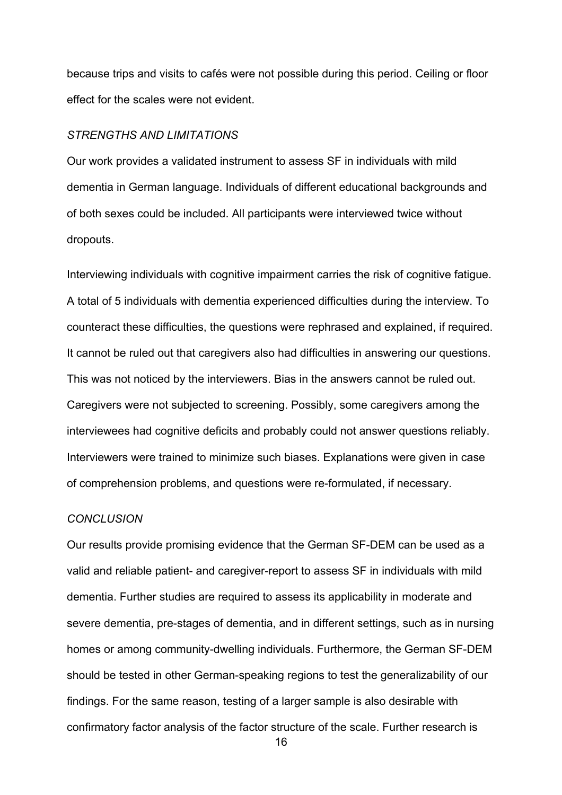because trips and visits to cafés were not possible during this period. Ceiling or floor effect for the scales were not evident.

#### *STRENGTHS AND LIMITATIONS*

Our work provides a validated instrument to assess SF in individuals with mild dementia in German language. Individuals of different educational backgrounds and of both sexes could be included. All participants were interviewed twice without dropouts.

Interviewing individuals with cognitive impairment carries the risk of cognitive fatigue. A total of 5 individuals with dementia experienced difficulties during the interview. To counteract these difficulties, the questions were rephrased and explained, if required. It cannot be ruled out that caregivers also had difficulties in answering our questions. This was not noticed by the interviewers. Bias in the answers cannot be ruled out. Caregivers were not subjected to screening. Possibly, some caregivers among the interviewees had cognitive deficits and probably could not answer questions reliably. Interviewers were trained to minimize such biases. Explanations were given in case of comprehension problems, and questions were re-formulated, if necessary.

#### *CONCLUSION*

Our results provide promising evidence that the German SF-DEM can be used as a valid and reliable patient- and caregiver-report to assess SF in individuals with mild dementia. Further studies are required to assess its applicability in moderate and severe dementia, pre-stages of dementia, and in different settings, such as in nursing homes or among community-dwelling individuals. Furthermore, the German SF-DEM should be tested in other German-speaking regions to test the generalizability of our findings. For the same reason, testing of a larger sample is also desirable with confirmatory factor analysis of the factor structure of the scale. Further research is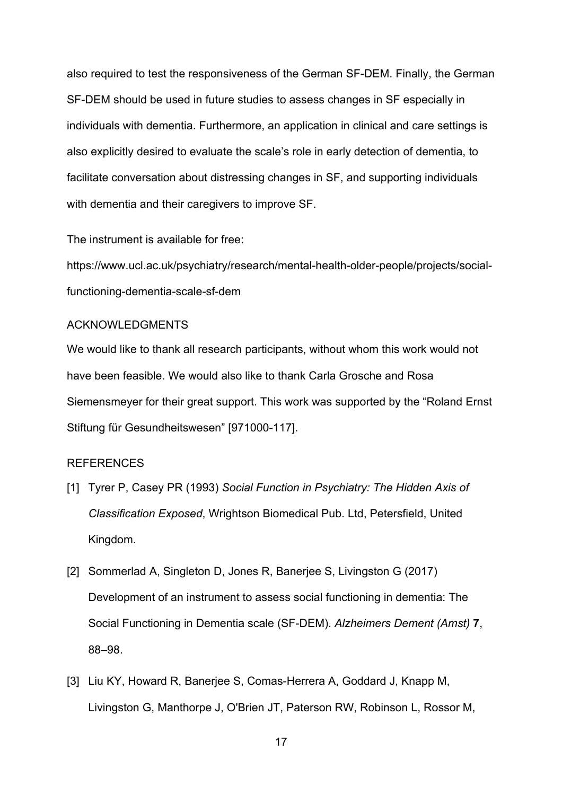also required to test the responsiveness of the German SF-DEM. Finally, the German SF-DEM should be used in future studies to assess changes in SF especially in individuals with dementia. Furthermore, an application in clinical and care settings is also explicitly desired to evaluate the scale's role in early detection of dementia, to facilitate conversation about distressing changes in SF, and supporting individuals with dementia and their caregivers to improve SF.

The instrument is available for free:

https://www.ucl.ac.uk/psychiatry/research/mental-health-older-people/projects/socialfunctioning-dementia-scale-sf-dem

#### ACKNOWLEDGMENTS

We would like to thank all research participants, without whom this work would not have been feasible. We would also like to thank Carla Grosche and Rosa Siemensmeyer for their great support. This work was supported by the "Roland Ernst Stiftung für Gesundheitswesen" [971000-117].

#### **REFERENCES**

- [1] Tyrer P, Casey PR (1993) *Social Function in Psychiatry: The Hidden Axis of Classification Exposed*, Wrightson Biomedical Pub. Ltd, Petersfield, United Kingdom.
- [2] Sommerlad A, Singleton D, Jones R, Banerjee S, Livingston G (2017) Development of an instrument to assess social functioning in dementia: The Social Functioning in Dementia scale (SF-DEM). *Alzheimers Dement (Amst)* **7**, 88–98.
- [3] Liu KY, Howard R, Banerjee S, Comas-Herrera A, Goddard J, Knapp M, Livingston G, Manthorpe J, O'Brien JT, Paterson RW, Robinson L, Rossor M,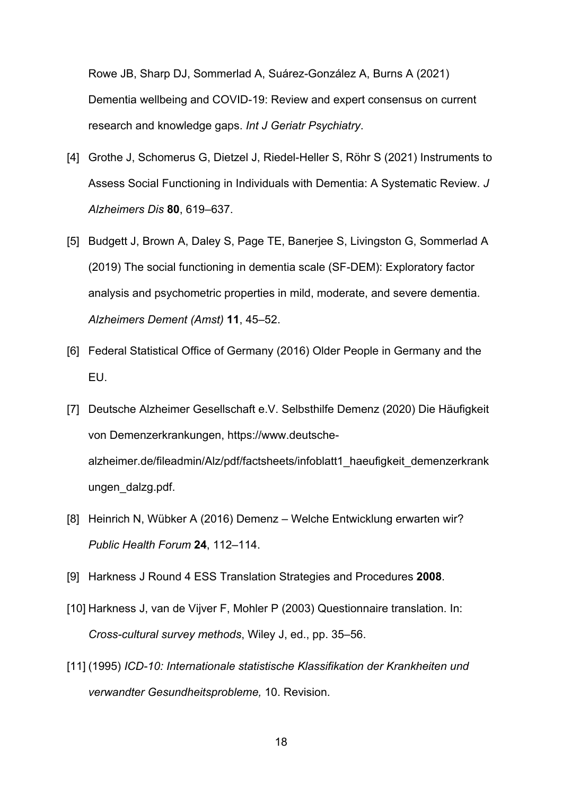Rowe JB, Sharp DJ, Sommerlad A, Suárez-González A, Burns A (2021) Dementia wellbeing and COVID-19: Review and expert consensus on current research and knowledge gaps. *Int J Geriatr Psychiatry*.

- [4] Grothe J, Schomerus G, Dietzel J, Riedel-Heller S, Röhr S (2021) Instruments to Assess Social Functioning in Individuals with Dementia: A Systematic Review. *J Alzheimers Dis* **80**, 619–637.
- [5] Budgett J, Brown A, Daley S, Page TE, Banerjee S, Livingston G, Sommerlad A (2019) The social functioning in dementia scale (SF-DEM): Exploratory factor analysis and psychometric properties in mild, moderate, and severe dementia. *Alzheimers Dement (Amst)* **11**, 45–52.
- [6] Federal Statistical Office of Germany (2016) Older People in Germany and the EU.
- [7] Deutsche Alzheimer Gesellschaft e.V. Selbsthilfe Demenz (2020) Die Häufigkeit von Demenzerkrankungen, https://www.deutschealzheimer.de/fileadmin/Alz/pdf/factsheets/infoblatt1\_haeufigkeit\_demenzerkrank ungen\_dalzg.pdf.
- [8] Heinrich N, Wübker A (2016) Demenz Welche Entwicklung erwarten wir? *Public Health Forum* **24**, 112–114.
- [9] Harkness J Round 4 ESS Translation Strategies and Procedures **2008**.
- [10] Harkness J, van de Vijver F, Mohler P (2003) Questionnaire translation. In: *Cross-cultural survey methods*, Wiley J, ed., pp. 35–56.
- [11] (1995) *ICD-10: Internationale statistische Klassifikation der Krankheiten und verwandter Gesundheitsprobleme,* 10. Revision.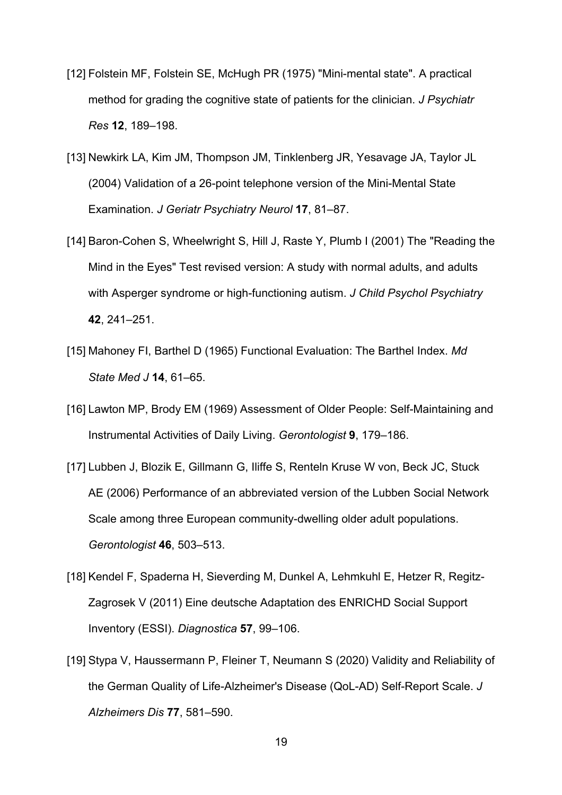- [12] Folstein MF, Folstein SE, McHugh PR (1975) "Mini-mental state". A practical method for grading the cognitive state of patients for the clinician. *J Psychiatr Res* **12**, 189–198.
- [13] Newkirk LA, Kim JM, Thompson JM, Tinklenberg JR, Yesavage JA, Taylor JL (2004) Validation of a 26-point telephone version of the Mini-Mental State Examination. *J Geriatr Psychiatry Neurol* **17**, 81–87.
- [14] Baron-Cohen S, Wheelwright S, Hill J, Raste Y, Plumb I (2001) The "Reading the Mind in the Eyes" Test revised version: A study with normal adults, and adults with Asperger syndrome or high-functioning autism. *J Child Psychol Psychiatry* **42**, 241–251.
- [15] Mahoney FI, Barthel D (1965) Functional Evaluation: The Barthel Index. *Md State Med J* **14**, 61–65.
- [16] Lawton MP, Brody EM (1969) Assessment of Older People: Self-Maintaining and Instrumental Activities of Daily Living. *Gerontologist* **9**, 179–186.
- [17] Lubben J, Blozik E, Gillmann G, Iliffe S, Renteln Kruse W von, Beck JC, Stuck AE (2006) Performance of an abbreviated version of the Lubben Social Network Scale among three European community-dwelling older adult populations. *Gerontologist* **46**, 503–513.
- [18] Kendel F, Spaderna H, Sieverding M, Dunkel A, Lehmkuhl E, Hetzer R, Regitz-Zagrosek V (2011) Eine deutsche Adaptation des ENRICHD Social Support Inventory (ESSI). *Diagnostica* **57**, 99–106.
- [19] Stypa V, Haussermann P, Fleiner T, Neumann S (2020) Validity and Reliability of the German Quality of Life-Alzheimer's Disease (QoL-AD) Self-Report Scale. *J Alzheimers Dis* **77**, 581–590.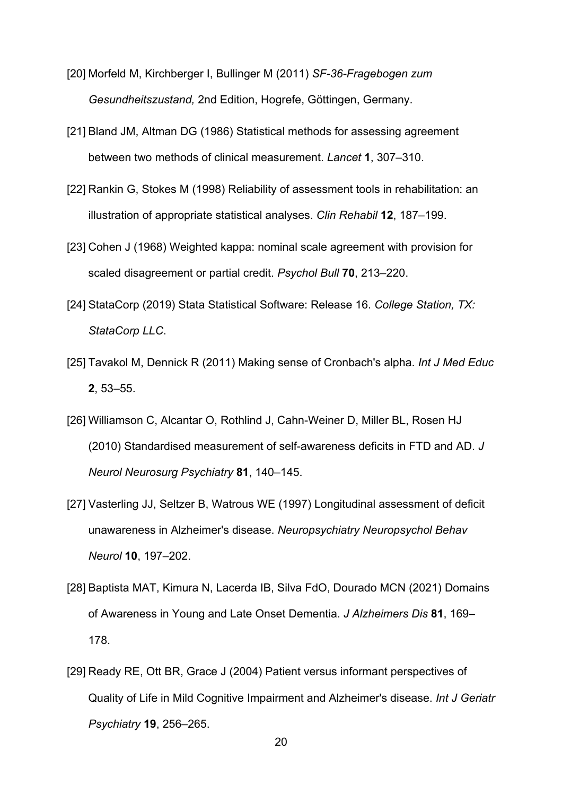- [20] Morfeld M, Kirchberger I, Bullinger M (2011) *SF-36-Fragebogen zum Gesundheitszustand,* 2nd Edition, Hogrefe, Göttingen, Germany.
- [21] Bland JM, Altman DG (1986) Statistical methods for assessing agreement between two methods of clinical measurement. *Lancet* **1**, 307–310.
- [22] Rankin G, Stokes M (1998) Reliability of assessment tools in rehabilitation: an illustration of appropriate statistical analyses. *Clin Rehabil* **12**, 187–199.
- [23] Cohen J (1968) Weighted kappa: nominal scale agreement with provision for scaled disagreement or partial credit. *Psychol Bull* **70**, 213–220.
- [24] StataCorp (2019) Stata Statistical Software: Release 16. *College Station, TX: StataCorp LLC*.
- [25] Tavakol M, Dennick R (2011) Making sense of Cronbach's alpha. *Int J Med Educ* **2**, 53–55.
- [26] Williamson C, Alcantar O, Rothlind J, Cahn-Weiner D, Miller BL, Rosen HJ (2010) Standardised measurement of self-awareness deficits in FTD and AD. *J Neurol Neurosurg Psychiatry* **81**, 140–145.
- [27] Vasterling JJ, Seltzer B, Watrous WE (1997) Longitudinal assessment of deficit unawareness in Alzheimer's disease. *Neuropsychiatry Neuropsychol Behav Neurol* **10**, 197–202.
- [28] Baptista MAT, Kimura N, Lacerda IB, Silva FdO, Dourado MCN (2021) Domains of Awareness in Young and Late Onset Dementia. *J Alzheimers Dis* **81**, 169– 178.
- [29] Ready RE, Ott BR, Grace J (2004) Patient versus informant perspectives of Quality of Life in Mild Cognitive Impairment and Alzheimer's disease. *Int J Geriatr Psychiatry* **19**, 256–265.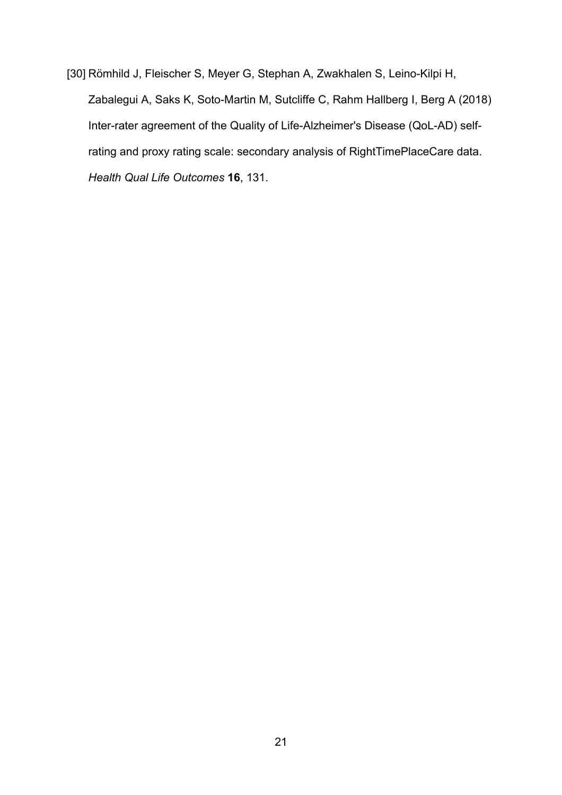[30] Römhild J, Fleischer S, Meyer G, Stephan A, Zwakhalen S, Leino-Kilpi H, Zabalegui A, Saks K, Soto-Martin M, Sutcliffe C, Rahm Hallberg I, Berg A (2018) Inter-rater agreement of the Quality of Life-Alzheimer's Disease (QoL-AD) selfrating and proxy rating scale: secondary analysis of RightTimePlaceCare data. *Health Qual Life Outcomes* **16**, 131.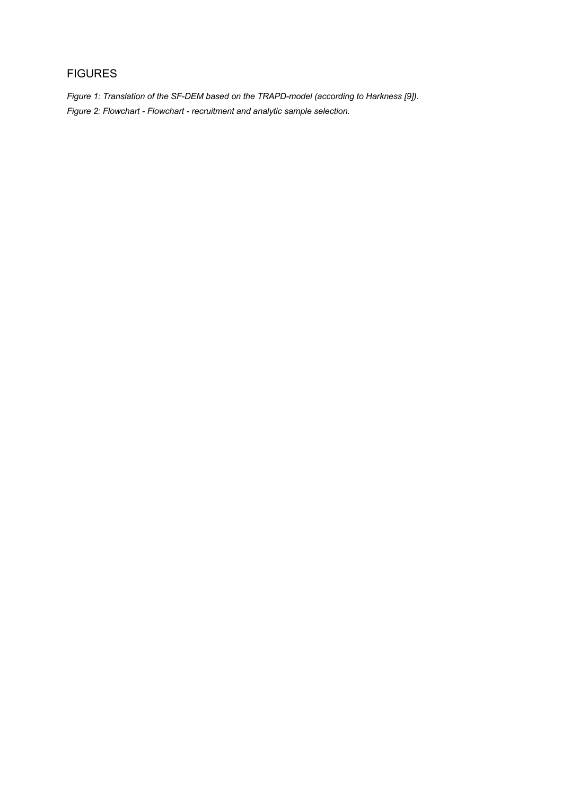# FIGURES

*Figure 1: Translation of the SF-DEM based on the TRAPD-model (according to Harkness [9]). Figure 2: Flowchart - Flowchart - recruitment and analytic sample selection.*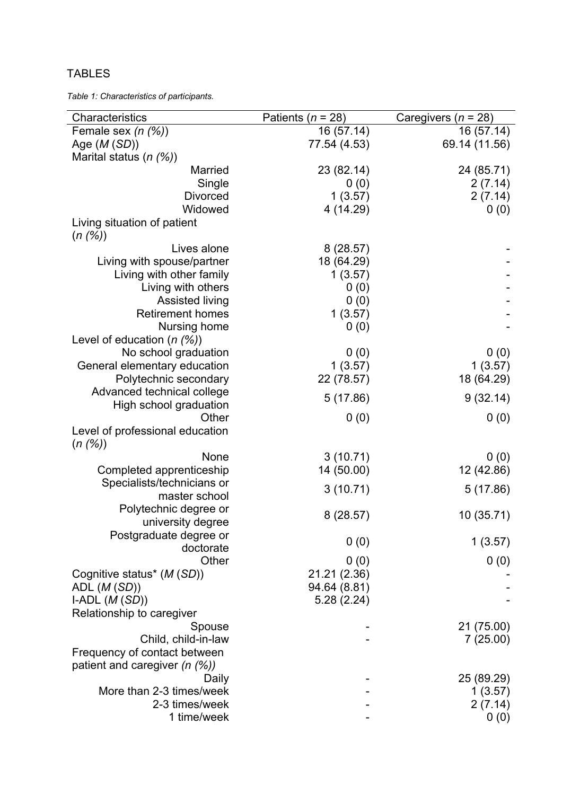# TABLES

*Table 1: Characteristics of participants.*

| Characteristics                    | Patients ( $n = 28$ ) | Caregivers ( $n = 28$ ) |
|------------------------------------|-----------------------|-------------------------|
| Female sex $(n \, (%)$             | 16 (57.14)            | 16 (57.14)              |
| Age $(M(SD))$                      | 77.54 (4.53)          | 69.14 (11.56)           |
| Marital status (n (%))             |                       |                         |
| Married                            | 23 (82.14)            | 24 (85.71)              |
| Single                             | 0(0)                  | 2(7.14)                 |
| <b>Divorced</b>                    | 1(3.57)               | 2(7.14)                 |
| Widowed                            | 4 (14.29)             | 0(0)                    |
| Living situation of patient        |                       |                         |
| (n (%))                            |                       |                         |
| Lives alone                        |                       |                         |
|                                    | 8(28.57)              |                         |
| Living with spouse/partner         | 18 (64.29)            |                         |
| Living with other family           | 1(3.57)               |                         |
| Living with others                 | 0(0)                  |                         |
| Assisted living                    | 0(0)                  |                         |
| <b>Retirement homes</b>            | 1(3.57)               |                         |
| Nursing home                       | 0(0)                  |                         |
| Level of education $(n \, (%)$     |                       |                         |
| No school graduation               | 0(0)                  | 0(0)                    |
| General elementary education       | 1(3.57)               | 1(3.57)                 |
| Polytechnic secondary              | 22 (78.57)            | 18 (64.29)              |
| Advanced technical college         |                       |                         |
| High school graduation             | 5(17.86)              | 9(32.14)                |
| Other                              | 0(0)                  | 0(0)                    |
| Level of professional education    |                       |                         |
| (n (%))                            |                       |                         |
| None                               | 3(10.71)              | 0(0)                    |
| Completed apprenticeship           | 14 (50.00)            | 12 (42.86)              |
| Specialists/technicians or         |                       |                         |
| master school                      | 3(10.71)              | 5(17.86)                |
| Polytechnic degree or              |                       |                         |
|                                    | 8(28.57)              | 10(35.71)               |
| university degree                  |                       |                         |
| Postgraduate degree or             | 0(0)                  | 1(3.57)                 |
| doctorate                          |                       |                         |
| Other                              | 0(0)                  | 0(0)                    |
| Cognitive status* (M (SD))         | 21.21 (2.36)          |                         |
| ADL $(M(SD))$                      | 94.64 (8.81)          |                         |
| I-ADL $(M(SD))$                    | 5.28(2.24)            |                         |
| Relationship to caregiver          |                       |                         |
| Spouse                             |                       | 21 (75.00)              |
| Child, child-in-law                |                       | 7(25.00)                |
| Frequency of contact between       |                       |                         |
| patient and caregiver $(n \, (\%)$ |                       |                         |
| Daily                              |                       | 25 (89.29)              |
| More than 2-3 times/week           |                       | 1(3.57)                 |
| 2-3 times/week                     |                       | 2(7.14)                 |
| 1 time/week                        |                       | 0(0)                    |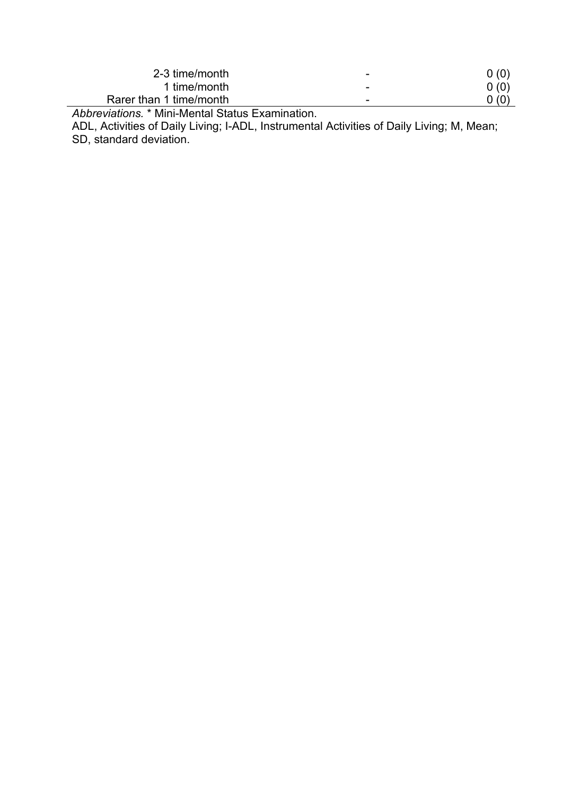| 2-3 time/month          | $\overline{\phantom{0}}$ | 0(0)             |
|-------------------------|--------------------------|------------------|
| 1 time/month            | $\overline{\phantom{0}}$ | 0(0)             |
| Rarer than 1 time/month | $\overline{\phantom{0}}$ | $\mathcal{L}(0)$ |
| .<br>.                  |                          |                  |

*Abbreviations.* \* Mini-Mental Status Examination.

ADL, Activities of Daily Living; I-ADL, Instrumental Activities of Daily Living; M, Mean; SD, standard deviation.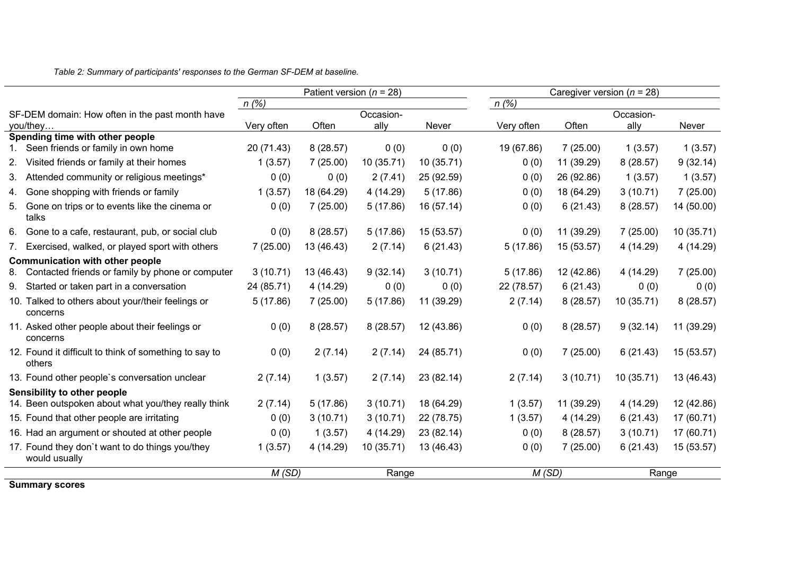*Table 2: Summary of participants' responses to the German SF-DEM at baseline.*

|                                                                  | Patient version ( $n = 28$ )                                                                                        |                          |                            |              |                        |                          |                            |                                                   |
|------------------------------------------------------------------|---------------------------------------------------------------------------------------------------------------------|--------------------------|----------------------------|--------------|------------------------|--------------------------|----------------------------|---------------------------------------------------|
|                                                                  | n(%)                                                                                                                |                          |                            |              | n(%)                   |                          |                            |                                                   |
| SF-DEM domain: How often in the past month have                  |                                                                                                                     |                          | Occasion-                  |              |                        |                          | Occasion-                  |                                                   |
|                                                                  |                                                                                                                     |                          |                            |              |                        |                          |                            | Never                                             |
|                                                                  |                                                                                                                     |                          |                            |              |                        |                          |                            | 1(3.57)                                           |
| Visited friends or family at their homes                         | 1(3.57)                                                                                                             | 7(25.00)                 | 10 (35.71)                 | 10(35.71)    | 0(0)                   | 11 (39.29)               | 8(28.57)                   | 9(32.14)                                          |
| Attended community or religious meetings*                        | 0(0)                                                                                                                | 0(0)                     | 2(7.41)                    | 25 (92.59)   | 0(0)                   | 26 (92.86)               | 1(3.57)                    | 1(3.57)                                           |
| 4. Gone shopping with friends or family                          | 1(3.57)                                                                                                             | 18 (64.29)               | 4 (14.29)                  | 5(17.86)     | 0(0)                   | 18 (64.29)               | 3(10.71)                   | 7(25.00)                                          |
| 5. Gone on trips or to events like the cinema or<br>talks        | 0(0)                                                                                                                | 7(25.00)                 | 5(17.86)                   | 16 (57.14)   | 0(0)                   | 6(21.43)                 | 8(28.57)                   | 14 (50.00)                                        |
| Gone to a cafe, restaurant, pub, or social club                  | 0(0)                                                                                                                | 8(28.57)                 | 5(17.86)                   | 15 (53.57)   | 0(0)                   | 11 (39.29)               | 7(25.00)                   | 10(35.71)                                         |
| 7. Exercised, walked, or played sport with others                | 7(25.00)                                                                                                            | 13 (46.43)               | 2(7.14)                    | 6(21.43)     | 5(17.86)               | 15 (53.57)               | 4 (14.29)                  | 4 (14.29)                                         |
| <b>Communication with other people</b>                           |                                                                                                                     |                          |                            |              |                        |                          |                            |                                                   |
| Contacted friends or family by phone or computer                 | 3(10.71)                                                                                                            | 13 (46.43)               | 9(32.14)                   | 3(10.71)     | 5(17.86)               | 12 (42.86)               | 4 (14.29)                  | 7(25.00)                                          |
| 9. Started or taken part in a conversation                       | 24 (85.71)                                                                                                          | 4 (14.29)                | 0(0)                       | 0(0)         | 22 (78.57)             | 6(21.43)                 | 0(0)                       | 0(0)                                              |
| 10. Talked to others about your/their feelings or<br>concerns    | 5(17.86)                                                                                                            | 7(25.00)                 | 5(17.86)                   | 11 (39.29)   | 2(7.14)                | 8(28.57)                 | 10 (35.71)                 | 8(28.57)                                          |
| 11. Asked other people about their feelings or<br>concerns       | 0(0)                                                                                                                | 8(28.57)                 | 8(28.57)                   | 12 (43.86)   | 0(0)                   | 8(28.57)                 | 9(32.14)                   | 11 (39.29)                                        |
| 12. Found it difficult to think of something to say to<br>others | 0(0)                                                                                                                | 2(7.14)                  | 2(7.14)                    | 24 (85.71)   | 0(0)                   | 7(25.00)                 | 6(21.43)                   | 15 (53.57)                                        |
| 13. Found other people's conversation unclear                    | 2(7.14)                                                                                                             | 1(3.57)                  | 2(7.14)                    | 23 (82.14)   | 2(7.14)                | 3(10.71)                 | 10 (35.71)                 | 13 (46.43)                                        |
|                                                                  |                                                                                                                     |                          |                            |              |                        |                          |                            |                                                   |
| 14. Been outspoken about what you/they really think              | 2(7.14)                                                                                                             | 5(17.86)                 | 3(10.71)                   | 18 (64.29)   | 1(3.57)                | 11 (39.29)               | 4 (14.29)                  | 12 (42.86)                                        |
| 15. Found that other people are irritating                       | 0(0)                                                                                                                | 3(10.71)                 | 3(10.71)                   | 22 (78.75)   | 1(3.57)                | 4 (14.29)                | 6(21.43)                   | 17 (60.71)                                        |
| 16. Had an argument or shouted at other people                   | 0(0)                                                                                                                | 1(3.57)                  | 4(14.29)                   | 23 (82.14)   | 0(0)                   | 8(28.57)                 | 3(10.71)                   | 17 (60.71)                                        |
| 17. Found they don't want to do things you/they<br>would usually | 1(3.57)                                                                                                             | 4(14.29)                 | 10 (35.71)                 | 13 (46.43)   | 0(0)                   | 7(25.00)                 | 6(21.43)                   | 15 (53.57)                                        |
|                                                                  |                                                                                                                     |                          |                            |              |                        |                          | Range                      |                                                   |
|                                                                  | you/they<br>Spending time with other people<br>1. Seen friends or family in own home<br>Sensibility to other people | Very often<br>20 (71.43) | Often<br>8(28.57)<br>M(SD) | ally<br>0(0) | Never<br>0(0)<br>Range | Very often<br>19 (67.86) | Often<br>7(25.00)<br>M(SD) | Caregiver version ( $n = 28$ )<br>ally<br>1(3.57) |

**Summary scores**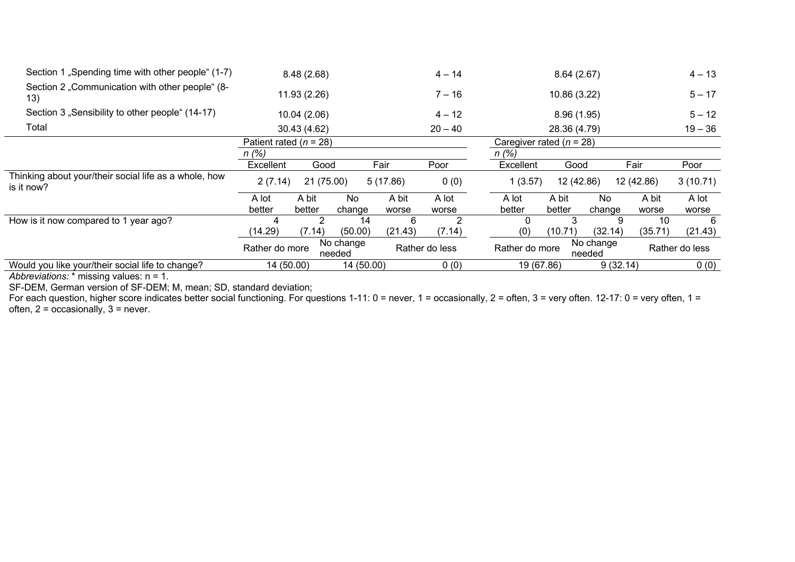| Section 1 "Spending time with other people" (1-7)                   |                | 8.48(2.68)                 |                     |          | $4 - 14$       |                            | 8.64(2.67)   |                     |            | $4 - 13$       |
|---------------------------------------------------------------------|----------------|----------------------------|---------------------|----------|----------------|----------------------------|--------------|---------------------|------------|----------------|
| Section 2 "Communication with other people" (8-<br>13)              |                | 11.93 (2.26)               |                     |          | $7 - 16$       |                            | 10.86 (3.22) |                     |            | $5 - 17$       |
| Section 3 "Sensibility to other people" (14-17)                     |                | 10.04(2.06)                |                     |          | $4 - 12$       |                            | 8.96(1.95)   |                     |            | $5 - 12$       |
| Total                                                               |                | 30.43 (4.62)               |                     |          | $20 - 40$      |                            | 28.36 (4.79) |                     |            | $19 - 36$      |
|                                                                     |                | Patient rated ( $n = 28$ ) |                     |          |                | Caregiver rated $(n = 28)$ |              |                     |            |                |
|                                                                     | n(%)           |                            |                     |          |                | n (%)                      |              |                     |            |                |
|                                                                     | Excellent      | Good                       |                     | Fair     | Poor           | Excellent                  | Good         |                     | Fair       | Poor           |
| Thinking about your/their social life as a whole, how<br>is it now? | 2(7.14)        | 21 (75.00)                 |                     | 5(17.86) | 0(0)           | 1(3.57)                    | 12 (42.86)   |                     | 12 (42.86) | 3(10.71)       |
|                                                                     | A lot          | A bit                      | No                  | A bit    | A lot          | A lot                      | A bit        | No                  | A bit      | A lot          |
|                                                                     | better         | better                     | change              | worse    | worse          | better                     | better       | change              | worse      | worse          |
| How is it now compared to 1 year ago?                               |                | 2                          | 14                  | 6        | 2              | 0                          |              | 9                   | 10         | 6              |
|                                                                     | (14.29)        | (7.14)                     | (50.00)             | (21.43)  | (7.14)         | (0)                        | (10.71)      | (32.14)             | (35.71)    | (21.43)        |
|                                                                     | Rather do more |                            | No change<br>needed |          | Rather do less | Rather do more             |              | No change<br>needed |            | Rather do less |
| Would you like your/their social life to change?                    | 14 (50.00)     |                            | 14 (50.00)          |          | 0(0)           | 19 (67.86)                 |              | 9(32.14)            |            | 0(0)           |

*Abbreviations:* \* missing values: n = 1.

SF-DEM, German version of SF-DEM; M, mean; SD, standard deviation;

For each question, higher score indicates better social functioning. For questions 1-11: 0 = never, 1 = occasionally, 2 = often, 3 = very often. 12-17: 0 = very often, 1 = often, 2 = occasionally, 3 = never.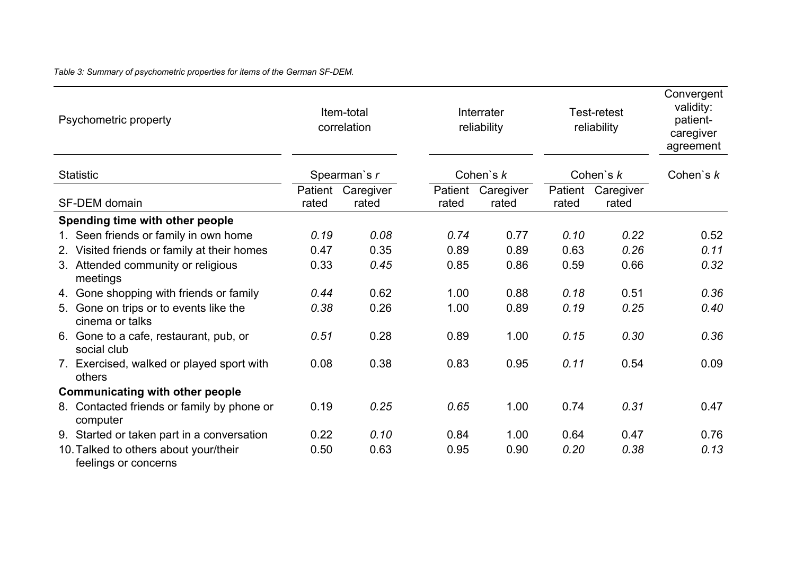*Table 3: Summary of psychometric properties for items of the German SF-DEM.*

| Psychometric property                                         | Item-total<br>Interrater<br>correlation<br>reliability |                    |                  | Test-retest<br>reliability |                  | Convergent<br>validity:<br>patient-<br>caregiver<br>agreement |             |
|---------------------------------------------------------------|--------------------------------------------------------|--------------------|------------------|----------------------------|------------------|---------------------------------------------------------------|-------------|
| <b>Statistic</b>                                              |                                                        | Spearman's r       |                  | Cohen's $k$                |                  | Cohen's $k$                                                   | Cohen's $k$ |
| <b>SF-DEM</b> domain                                          | Patient<br>rated                                       | Caregiver<br>rated | Patient<br>rated | Caregiver<br>rated         | Patient<br>rated | Caregiver<br>rated                                            |             |
| Spending time with other people                               |                                                        |                    |                  |                            |                  |                                                               |             |
| 1. Seen friends or family in own home                         | 0.19                                                   | 0.08               | 0.74             | 0.77                       | 0.10             | 0.22                                                          | 0.52        |
| 2. Visited friends or family at their homes                   | 0.47                                                   | 0.35               | 0.89             | 0.89                       | 0.63             | 0.26                                                          | 0.11        |
| 3. Attended community or religious<br>meetings                | 0.33                                                   | 0.45               | 0.85             | 0.86                       | 0.59             | 0.66                                                          | 0.32        |
| 4. Gone shopping with friends or family                       | 0.44                                                   | 0.62               | 1.00             | 0.88                       | 0.18             | 0.51                                                          | 0.36        |
| 5. Gone on trips or to events like the<br>cinema or talks     | 0.38                                                   | 0.26               | 1.00             | 0.89                       | 0.19             | 0.25                                                          | 0.40        |
| 6. Gone to a cafe, restaurant, pub, or<br>social club         | 0.51                                                   | 0.28               | 0.89             | 1.00                       | 0.15             | 0.30                                                          | 0.36        |
| 7. Exercised, walked or played sport with<br>others           | 0.08                                                   | 0.38               | 0.83             | 0.95                       | 0.11             | 0.54                                                          | 0.09        |
| <b>Communicating with other people</b>                        |                                                        |                    |                  |                            |                  |                                                               |             |
| 8. Contacted friends or family by phone or<br>computer        | 0.19                                                   | 0.25               | 0.65             | 1.00                       | 0.74             | 0.31                                                          | 0.47        |
| 9. Started or taken part in a conversation                    | 0.22                                                   | 0.10               | 0.84             | 1.00                       | 0.64             | 0.47                                                          | 0.76        |
| 10. Talked to others about your/their<br>feelings or concerns | 0.50                                                   | 0.63               | 0.95             | 0.90                       | 0.20             | 0.38                                                          | 0.13        |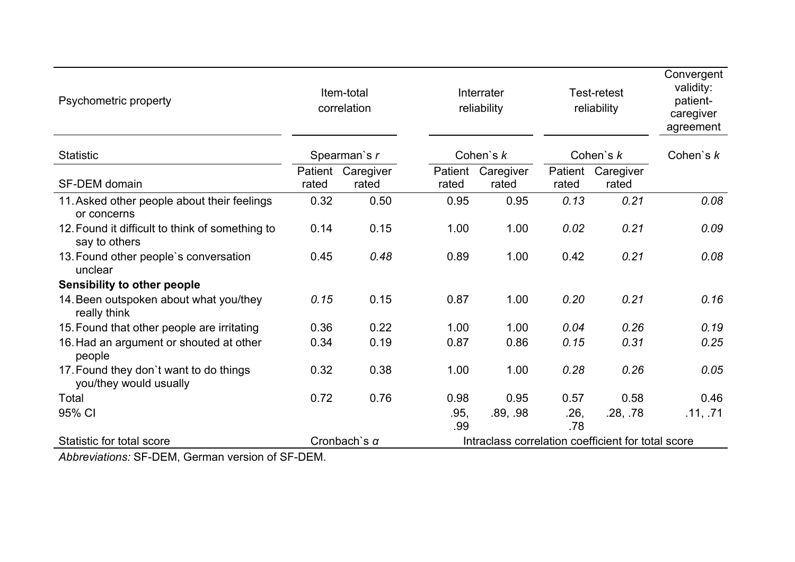| Psychometric property                                            | Item-total<br>Interrater<br>correlation<br>reliability                    |                            |                  | <b>Test-retest</b><br>reliability |                  | Convergent<br>validity:<br>patient-<br>caregiver<br>agreement |          |
|------------------------------------------------------------------|---------------------------------------------------------------------------|----------------------------|------------------|-----------------------------------|------------------|---------------------------------------------------------------|----------|
| <b>Statistic</b>                                                 |                                                                           | Spearman's r               |                  | Cohen's $k$                       |                  | Cohen's $k$                                                   |          |
| <b>SF-DEM</b> domain                                             | rated                                                                     | Patient Caregiver<br>rated | Patient<br>rated | Caregiver<br>rated                | Patient<br>rated | Caregiver<br>rated                                            |          |
| 11. Asked other people about their feelings<br>or concerns       | 0.32                                                                      | 0.50                       | 0.95             | 0.95                              | 0.13             | 0.21                                                          | 0.08     |
| 12. Found it difficult to think of something to<br>say to others | 0.14                                                                      | 0.15                       | 1.00             | 1.00                              | 0.02             | 0.21                                                          | 0.09     |
| 13. Found other people's conversation<br>unclear                 | 0.45                                                                      | 0.48                       | 0.89             | 1.00                              | 0.42             | 0.21                                                          | 0.08     |
| <b>Sensibility to other people</b>                               |                                                                           |                            |                  |                                   |                  |                                                               |          |
| 14. Been outspoken about what you/they<br>really think           | 0.15                                                                      | 0.15                       | 0.87             | 1.00                              | 0.20             | 0.21                                                          | 0.16     |
| 15. Found that other people are irritating                       | 0.36                                                                      | 0.22                       | 1.00             | 1.00                              | 0.04             | 0.26                                                          | 0.19     |
| 16. Had an argument or shouted at other<br>people                | 0.34                                                                      | 0.19                       | 0.87             | 0.86                              | 0.15             | 0.31                                                          | 0.25     |
| 17. Found they don't want to do things<br>you/they would usually | 0.32                                                                      | 0.38                       | 1.00             | 1.00                              | 0.28             | 0.26                                                          | 0.05     |
| Total                                                            | 0.72                                                                      | 0.76                       | 0.98             | 0.95                              | 0.57             | 0.58                                                          | 0.46     |
| 95% CI                                                           |                                                                           |                            | .95,<br>.99      | .89, .98                          | .26,<br>.78      | .28, .78                                                      | .11, .71 |
| Statistic for total score                                        | Intraclass correlation coefficient for total score<br>Cronbach's $\alpha$ |                            |                  |                                   |                  |                                                               |          |

*Abbreviations:* SF-DEM, German version of SF-DEM.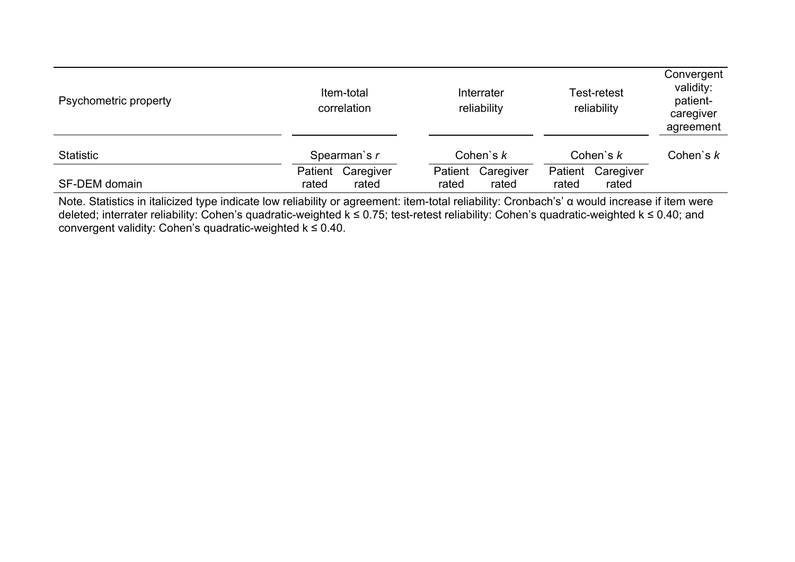| Psychometric property |                  | Item-total<br>correlation |                  | Interrater<br>reliability | <b>Test-retest</b><br>reliability |                    | Convergent<br>validity:<br>patient-<br>caregiver<br>agreement |
|-----------------------|------------------|---------------------------|------------------|---------------------------|-----------------------------------|--------------------|---------------------------------------------------------------|
| <b>Statistic</b>      | Spearman's r     |                           | Cohen's $k$      |                           | Cohen's $k$                       | Cohen's $k$        |                                                               |
| <b>SF-DEM</b> domain  | Patient<br>rated | Caregiver<br>rated        | Patient<br>rated | Caregiver<br>rated        | Patient<br>rated                  | Caregiver<br>rated |                                                               |

Note. Statistics in italicized type indicate low reliability or agreement: item-total reliability: Cronbach's' α would increase if item were deleted; interrater reliability: Cohen's quadratic-weighted k ≤ 0.75; test-retest reliability: Cohen's quadratic-weighted k ≤ 0.40; and convergent validity: Cohen's quadratic-weighted  $k \le 0.40$ .